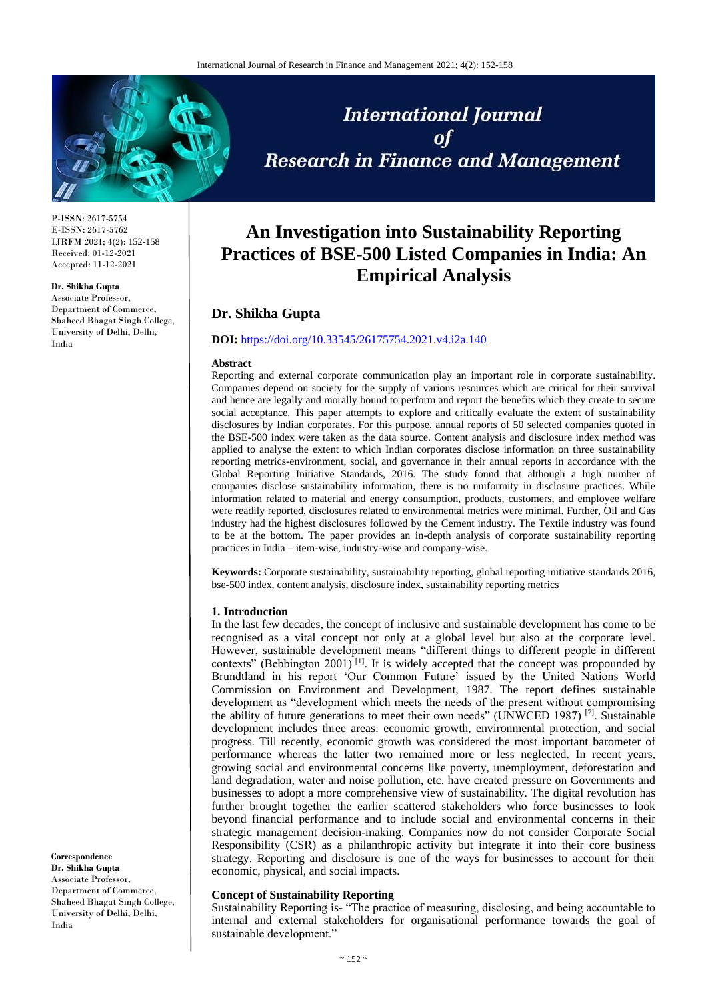

P-ISSN: 2617-5754 E-ISSN: 2617-5762 IJRFM 2021; 4(2): 152-158 Received: 01-12-2021 Accepted: 11-12-2021

#### **Dr. Shikha Gupta**

Associate Professor, Department of Commerce, Shaheed Bhagat Singh College, University of Delhi, Delhi, India

**International Journal** of **Research in Finance and Management** 

# **An Investigation into Sustainability Reporting Practices of BSE-500 Listed Companies in India: An Empirical Analysis**

# **Dr. Shikha Gupta**

## **DOI:** <https://doi.org/10.33545/26175754.2021.v4.i2a.140>

#### **Abstract**

Reporting and external corporate communication play an important role in corporate sustainability. Companies depend on society for the supply of various resources which are critical for their survival and hence are legally and morally bound to perform and report the benefits which they create to secure social acceptance. This paper attempts to explore and critically evaluate the extent of sustainability disclosures by Indian corporates. For this purpose, annual reports of 50 selected companies quoted in the BSE-500 index were taken as the data source. Content analysis and disclosure index method was applied to analyse the extent to which Indian corporates disclose information on three sustainability reporting metrics-environment, social, and governance in their annual reports in accordance with the Global Reporting Initiative Standards, 2016. The study found that although a high number of companies disclose sustainability information, there is no uniformity in disclosure practices. While information related to material and energy consumption, products, customers, and employee welfare were readily reported, disclosures related to environmental metrics were minimal. Further, Oil and Gas industry had the highest disclosures followed by the Cement industry. The Textile industry was found to be at the bottom. The paper provides an in-depth analysis of corporate sustainability reporting practices in India – item-wise, industry-wise and company-wise.

**Keywords:** Corporate sustainability, sustainability reporting, global reporting initiative standards 2016, bse-500 index, content analysis, disclosure index, sustainability reporting metrics

#### **1. Introduction**

In the last few decades, the concept of inclusive and sustainable development has come to be recognised as a vital concept not only at a global level but also at the corporate level. However, sustainable development means "different things to different people in different contexts" (Bebbington 2001)<sup>[1]</sup>. It is widely accepted that the concept was propounded by Brundtland in his report 'Our Common Future' issued by the United Nations World Commission on Environment and Development, 1987. The report defines sustainable development as "development which meets the needs of the present without compromising the ability of future generations to meet their own needs" (UNWCED 1987)<sup>[7]</sup>. Sustainable development includes three areas: economic growth, environmental protection, and social progress. Till recently, economic growth was considered the most important barometer of performance whereas the latter two remained more or less neglected. In recent years, growing social and environmental concerns like poverty, unemployment, deforestation and land degradation, water and noise pollution, etc. have created pressure on Governments and businesses to adopt a more comprehensive view of sustainability. The digital revolution has further brought together the earlier scattered stakeholders who force businesses to look beyond financial performance and to include social and environmental concerns in their strategic management decision-making. Companies now do not consider Corporate Social Responsibility (CSR) as a philanthropic activity but integrate it into their core business strategy. Reporting and disclosure is one of the ways for businesses to account for their economic, physical, and social impacts.

## **Concept of Sustainability Reporting**

Sustainability Reporting is- "The practice of measuring, disclosing, and being accountable to internal and external stakeholders for organisational performance towards the goal of sustainable development."

**Correspondence Dr. Shikha Gupta** Associate Professor, Department of Commerce, Shaheed Bhagat Singh College, University of Delhi, Delhi, India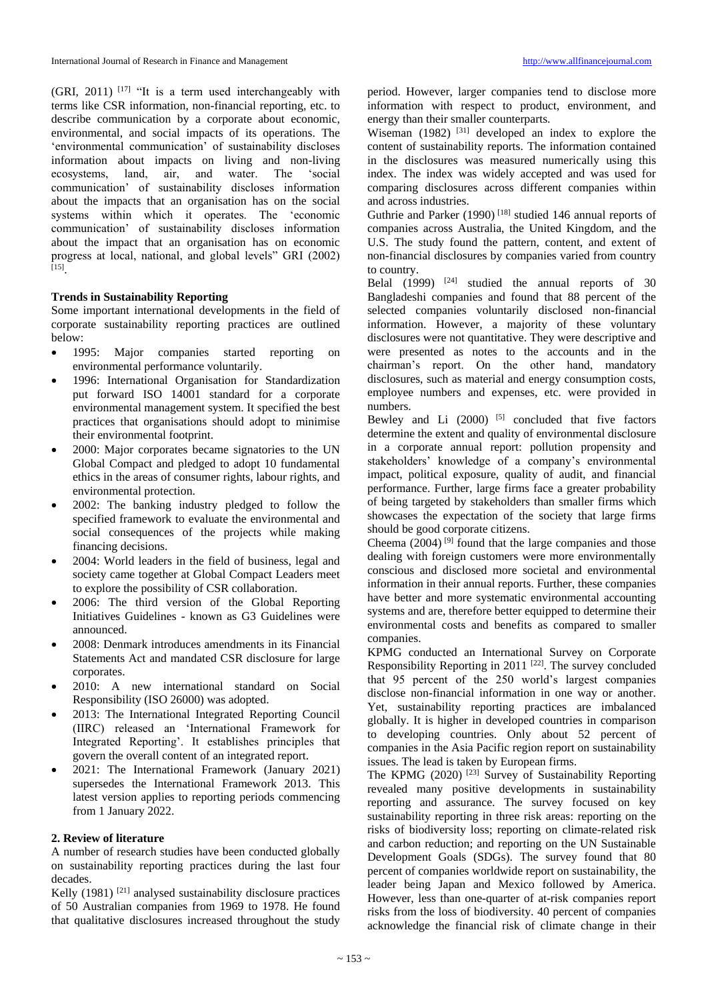(GRI, 2011)  $[17]$  "It is a term used interchangeably with terms like CSR information, non-financial reporting, etc. to describe communication by a corporate about economic, environmental, and social impacts of its operations. The 'environmental communication' of sustainability discloses information about impacts on living and non-living ecosystems, land, air, and water. The 'social communication' of sustainability discloses information about the impacts that an organisation has on the social systems within which it operates. The 'economic communication' of sustainability discloses information about the impact that an organisation has on economic progress at local, national, and global levels" GRI (2002) [15] .

## **Trends in Sustainability Reporting**

Some important international developments in the field of corporate sustainability reporting practices are outlined below:

- 1995: Major companies started reporting on environmental performance voluntarily.
- 1996: International Organisation for Standardization put forward ISO 14001 standard for a corporate environmental management system. It specified the best practices that organisations should adopt to minimise their environmental footprint.
- 2000: Major corporates became signatories to the UN Global Compact and pledged to adopt 10 fundamental ethics in the areas of consumer rights, labour rights, and environmental protection.
- 2002: The banking industry pledged to follow the specified framework to evaluate the environmental and social consequences of the projects while making financing decisions.
- 2004: World leaders in the field of business, legal and society came together at Global Compact Leaders meet to explore the possibility of CSR collaboration.
- 2006: The third version of the Global Reporting Initiatives Guidelines - known as G3 Guidelines were announced.
- 2008: Denmark introduces amendments in its Financial Statements Act and mandated CSR disclosure for large corporates.
- 2010: A new international standard on Social Responsibility (ISO 26000) was adopted.
- 2013: The International Integrated Reporting Council (IIRC) released an 'International Framework for Integrated Reporting'. It establishes principles that govern the overall content of an integrated report.
- 2021: The International Framework (January 2021) supersedes the International Framework 2013. This latest version applies to reporting periods commencing from 1 January 2022.

## **2. Review of literature**

A number of research studies have been conducted globally on sustainability reporting practices during the last four decades.

Kelly  $(1981)$ <sup>[21]</sup> analysed sustainability disclosure practices of 50 Australian companies from 1969 to 1978. He found that qualitative disclosures increased throughout the study

period. However, larger companies tend to disclose more information with respect to product, environment, and energy than their smaller counterparts.

Wiseman  $(1982)$ <sup>[31]</sup> developed an index to explore the content of sustainability reports. The information contained in the disclosures was measured numerically using this index. The index was widely accepted and was used for comparing disclosures across different companies within and across industries.

Guthrie and Parker (1990)<sup>[18]</sup> studied 146 annual reports of companies across Australia, the United Kingdom, and the U.S. The study found the pattern, content, and extent of non-financial disclosures by companies varied from country to country.

Belal  $(1999)$  <sup>[24]</sup> studied the annual reports of 30 Bangladeshi companies and found that 88 percent of the selected companies voluntarily disclosed non-financial information. However, a majority of these voluntary disclosures were not quantitative. They were descriptive and were presented as notes to the accounts and in the chairman's report. On the other hand, mandatory disclosures, such as material and energy consumption costs, employee numbers and expenses, etc. were provided in numbers.

Bewley and Li  $(2000)$ <sup>[5]</sup> concluded that five factors determine the extent and quality of environmental disclosure in a corporate annual report: pollution propensity and stakeholders' knowledge of a company's environmental impact, political exposure, quality of audit, and financial performance. Further, large firms face a greater probability of being targeted by stakeholders than smaller firms which showcases the expectation of the society that large firms should be good corporate citizens.

Cheema  $(2004)$ <sup>[9]</sup> found that the large companies and those dealing with foreign customers were more environmentally conscious and disclosed more societal and environmental information in their annual reports. Further, these companies have better and more systematic environmental accounting systems and are, therefore better equipped to determine their environmental costs and benefits as compared to smaller companies.

KPMG conducted an International Survey on Corporate Responsibility Reporting in 2011  $[22]$ . The survey concluded that 95 percent of the 250 world's largest companies disclose non-financial information in one way or another. Yet, sustainability reporting practices are imbalanced globally. It is higher in developed countries in comparison to developing countries. Only about 52 percent of companies in the Asia Pacific region report on sustainability issues. The lead is taken by European firms.

The KPMG (2020)<sup>[23]</sup> Survey of Sustainability Reporting revealed many positive developments in sustainability reporting and assurance. The survey focused on key sustainability reporting in three risk areas: reporting on the risks of biodiversity loss; reporting on climate-related risk and carbon reduction; and reporting on the UN Sustainable Development Goals (SDGs). The survey found that 80 percent of companies worldwide report on sustainability, the leader being Japan and Mexico followed by America. However, less than one-quarter of at-risk companies report risks from the loss of biodiversity. 40 percent of companies acknowledge the financial risk of climate change in their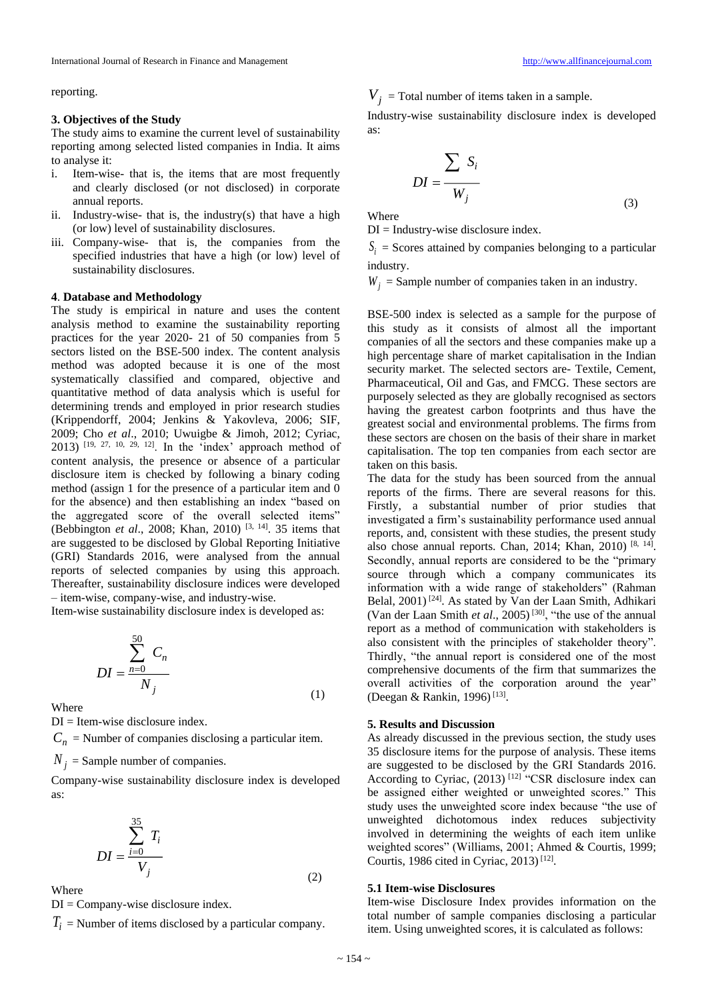reporting.

#### **3. Objectives of the Study**

The study aims to examine the current level of sustainability reporting among selected listed companies in India. It aims to analyse it:

- i. Item-wise- that is, the items that are most frequently and clearly disclosed (or not disclosed) in corporate annual reports.
- ii. Industry-wise- that is, the industry(s) that have a high (or low) level of sustainability disclosures.
- iii. Company-wise- that is, the companies from the specified industries that have a high (or low) level of sustainability disclosures.

#### **4**. **Database and Methodology**

The study is empirical in nature and uses the content analysis method to examine the sustainability reporting practices for the year 2020- 21 of 50 companies from 5 sectors listed on the BSE-500 index. The content analysis method was adopted because it is one of the most systematically classified and compared, objective and quantitative method of data analysis which is useful for determining trends and employed in prior research studies (Krippendorff, 2004; Jenkins & Yakovleva, 2006; SIF, 2009; Cho *et al*., 2010; Uwuigbe & Jimoh, 2012; Cyriac, 2013) [19, 27, 10, 29, 12]. In the 'index' approach method of content analysis, the presence or absence of a particular disclosure item is checked by following a binary coding method (assign 1 for the presence of a particular item and 0 for the absence) and then establishing an index "based on the aggregated score of the overall selected items" (Bebbington *et al*., 2008; Khan, 2010) [3, 14] . 35 items that are suggested to be disclosed by Global Reporting Initiative (GRI) Standards 2016, were analysed from the annual reports of selected companies by using this approach. Thereafter, sustainability disclosure indices were developed – item-wise, company-wise, and industry-wise.

Item-wise sustainability disclosure index is developed as:

$$
DI = \frac{\sum_{n=0}^{50} C_n}{N_j}
$$
\n(1)

Where

DI = Item-wise disclosure index.

 $C_n$  = Number of companies disclosing a particular item.

 $N_{j}$  = Sample number of companies.

Company-wise sustainability disclosure index is developed as:

$$
DI = \frac{\sum_{i=0}^{35} T_i}{V_j}
$$

Where

 $DI = Company-wise$  disclosure index.

*Ti* = Number of items disclosed by a particular company.

 $V_j$  = Total number of items taken in a sample.

Industry-wise sustainability disclosure index is developed as:

$$
DI = \frac{\sum_{i} S_i}{W_j}
$$
 (3)

Where

 $DI = Industry-wise disclosure index.$ 

 $S_i$  = Scores attained by companies belonging to a particular industry.

 $W_j$  = Sample number of companies taken in an industry.

BSE-500 index is selected as a sample for the purpose of this study as it consists of almost all the important companies of all the sectors and these companies make up a high percentage share of market capitalisation in the Indian security market. The selected sectors are- Textile, Cement, Pharmaceutical, Oil and Gas, and FMCG. These sectors are purposely selected as they are globally recognised as sectors having the greatest carbon footprints and thus have the greatest social and environmental problems. The firms from these sectors are chosen on the basis of their share in market capitalisation. The top ten companies from each sector are taken on this basis.

The data for the study has been sourced from the annual reports of the firms. There are several reasons for this. Firstly, a substantial number of prior studies that investigated a firm's sustainability performance used annual reports, and, consistent with these studies, the present study also chose annual reports. Chan, 2014; Khan, 2010) [8, 14]. Secondly, annual reports are considered to be the "primary source through which a company communicates its information with a wide range of stakeholders" (Rahman Belal, 2001) [24]. As stated by Van der Laan Smith, Adhikari (Van der Laan Smith *et al*., 2005) [30], "the use of the annual report as a method of communication with stakeholders is also consistent with the principles of stakeholder theory". Thirdly, "the annual report is considered one of the most comprehensive documents of the firm that summarizes the overall activities of the corporation around the year" (Deegan & Rankin, 1996)<sup>[13]</sup>.

### **5. Results and Discussion**

As already discussed in the previous section, the study uses 35 disclosure items for the purpose of analysis. These items are suggested to be disclosed by the GRI Standards 2016. According to Cyriac,  $(2013)$ <sup>[12]</sup> "CSR disclosure index can be assigned either weighted or unweighted scores." This study uses the unweighted score index because "the use of unweighted dichotomous index reduces subjectivity involved in determining the weights of each item unlike weighted scores" (Williams, 2001; Ahmed & Courtis, 1999; Courtis, 1986 cited in Cyriac, 2013)<sup>[12]</sup>.

## **5.1 Item-wise Disclosures**

Item-wise Disclosure Index provides information on the total number of sample companies disclosing a particular item. Using unweighted scores, it is calculated as follows:

(2)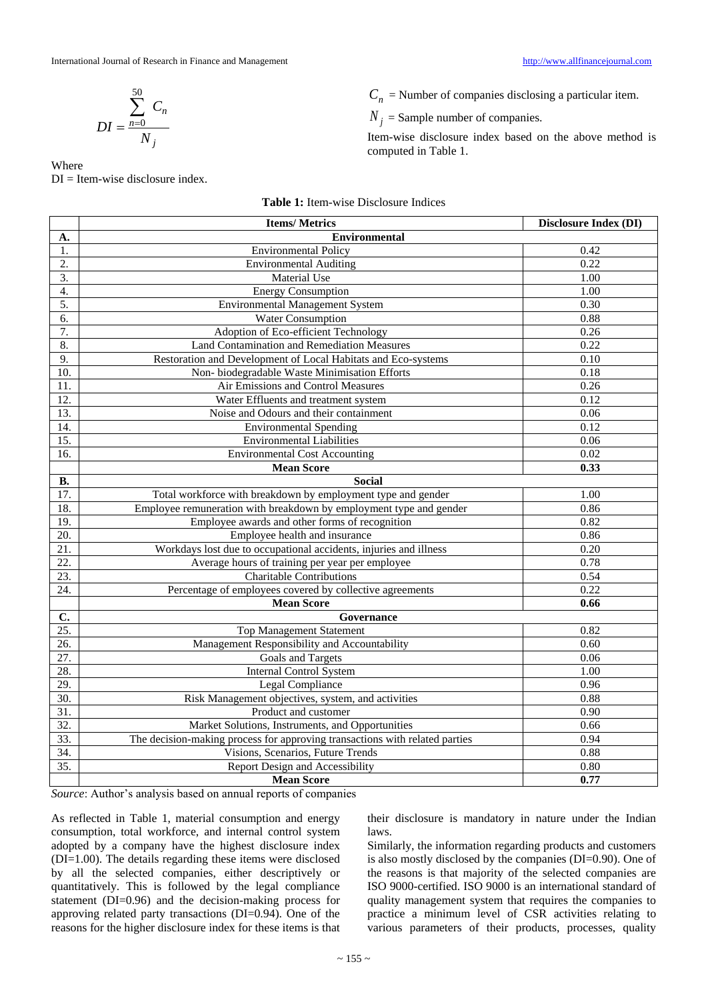$$
DI = \frac{\sum_{n=0}^{50} C_n}{N_j}
$$

Where DI = Item-wise disclosure index.  $C_n$  = Number of companies disclosing a particular item.

 $N_j =$  Sample number of companies.

Item-wise disclosure index based on the above method is computed in Table 1.

|                   | <b>Items/Metrics</b>                                                        | <b>Disclosure Index (DI)</b> |  |  |  |  |  |
|-------------------|-----------------------------------------------------------------------------|------------------------------|--|--|--|--|--|
| А.                | <b>Environmental</b>                                                        |                              |  |  |  |  |  |
| 1.                | Environmental Policy                                                        | 0.42                         |  |  |  |  |  |
| 2.                | <b>Environmental Auditing</b>                                               | 0.22                         |  |  |  |  |  |
| 3.                | <b>Material Use</b>                                                         | 1.00                         |  |  |  |  |  |
| $\overline{4}$ .  | <b>Energy Consumption</b>                                                   | 1.00                         |  |  |  |  |  |
| 5.                | <b>Environmental Management System</b>                                      | 0.30                         |  |  |  |  |  |
| 6.                | Water Consumption                                                           | 0.88                         |  |  |  |  |  |
| 7.                | Adoption of Eco-efficient Technology                                        | 0.26                         |  |  |  |  |  |
| 8.                | Land Contamination and Remediation Measures                                 | 0.22                         |  |  |  |  |  |
| 9.                | Restoration and Development of Local Habitats and Eco-systems               | 0.10                         |  |  |  |  |  |
| 10.               | Non-biodegradable Waste Minimisation Efforts                                | 0.18                         |  |  |  |  |  |
| 11.               | Air Emissions and Control Measures                                          | 0.26                         |  |  |  |  |  |
| 12.               | Water Effluents and treatment system                                        | 0.12                         |  |  |  |  |  |
| 13.               | Noise and Odours and their containment                                      | 0.06                         |  |  |  |  |  |
| 14.               | <b>Environmental Spending</b>                                               | 0.12                         |  |  |  |  |  |
| 15.               | <b>Environmental Liabilities</b>                                            | 0.06                         |  |  |  |  |  |
| 16.               | <b>Environmental Cost Accounting</b>                                        | 0.02                         |  |  |  |  |  |
|                   | <b>Mean Score</b>                                                           | 0.33                         |  |  |  |  |  |
| <b>B.</b>         | <b>Social</b>                                                               |                              |  |  |  |  |  |
| $\overline{17}$ . | Total workforce with breakdown by employment type and gender                | 1.00                         |  |  |  |  |  |
| 18.               | Employee remuneration with breakdown by employment type and gender          | 0.86                         |  |  |  |  |  |
| 19.               | Employee awards and other forms of recognition                              | 0.82                         |  |  |  |  |  |
| 20.               | Employee health and insurance                                               | 0.86                         |  |  |  |  |  |
| 21.               | Workdays lost due to occupational accidents, injuries and illness           | 0.20                         |  |  |  |  |  |
| 22.               | Average hours of training per year per employee                             | 0.78                         |  |  |  |  |  |
| 23.               | <b>Charitable Contributions</b>                                             | 0.54                         |  |  |  |  |  |
| 24.               | Percentage of employees covered by collective agreements                    | 0.22                         |  |  |  |  |  |
|                   | <b>Mean Score</b>                                                           | 0.66                         |  |  |  |  |  |
| C.                | Governance                                                                  |                              |  |  |  |  |  |
| $\overline{25}$ . | <b>Top Management Statement</b>                                             | 0.82                         |  |  |  |  |  |
| 26.               | Management Responsibility and Accountability                                | 0.60                         |  |  |  |  |  |
| 27.               | Goals and Targets                                                           | 0.06                         |  |  |  |  |  |
| 28.               | <b>Internal Control System</b>                                              | 1.00                         |  |  |  |  |  |
| 29.               | <b>Legal Compliance</b>                                                     | 0.96                         |  |  |  |  |  |
| 30.               | Risk Management objectives, system, and activities                          | 0.88                         |  |  |  |  |  |
| $\overline{31}$ . | Product and customer                                                        | 0.90                         |  |  |  |  |  |
| $\overline{32}$ . | Market Solutions, Instruments, and Opportunities                            | 0.66                         |  |  |  |  |  |
| 33.               | The decision-making process for approving transactions with related parties | 0.94                         |  |  |  |  |  |
| 34.               | Visions, Scenarios, Future Trends                                           | 0.88                         |  |  |  |  |  |
| 35.               | <b>Report Design and Accessibility</b>                                      | 0.80                         |  |  |  |  |  |
|                   | <b>Mean Score</b>                                                           | 0.77                         |  |  |  |  |  |

**Table 1:** Item-wise Disclosure Indices

*Source*: Author's analysis based on annual reports of companies

As reflected in Table 1, material consumption and energy consumption, total workforce, and internal control system adopted by a company have the highest disclosure index (DI=1.00). The details regarding these items were disclosed by all the selected companies, either descriptively or quantitatively. This is followed by the legal compliance statement (DI=0.96) and the decision-making process for approving related party transactions (DI=0.94). One of the reasons for the higher disclosure index for these items is that

their disclosure is mandatory in nature under the Indian laws.

Similarly, the information regarding products and customers is also mostly disclosed by the companies (DI=0.90). One of the reasons is that majority of the selected companies are ISO 9000-certified. ISO 9000 is an international standard of quality management system that requires the companies to practice a minimum level of CSR activities relating to various parameters of their products, processes, quality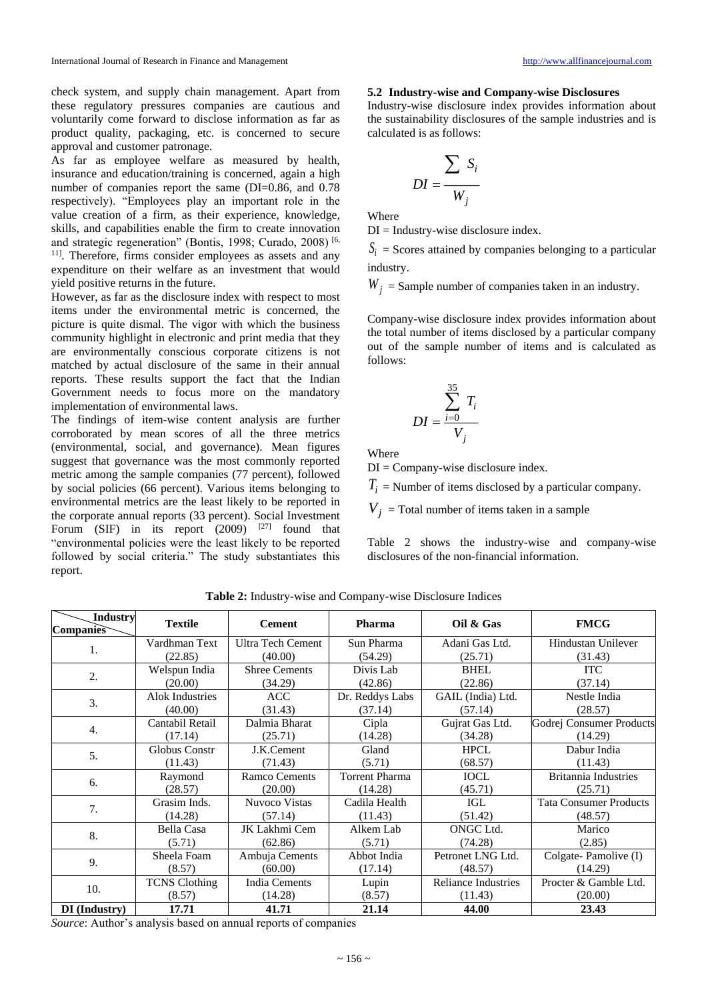check system, and supply chain management. Apart from these regulatory pressures companies are cautious and voluntarily come forward to disclose information as far as product quality, packaging, etc. is concerned to secure approval and customer patronage.

As far as employee welfare as measured by health, insurance and education/training is concerned, again a high number of companies report the same (DI=0.86, and 0.78 respectively). "Employees play an important role in the value creation of a firm, as their experience, knowledge, skills, and capabilities enable the firm to create innovation and strategic regeneration" (Bontis, 1998; Curado, 2008) [6, <sup>11]</sup>. Therefore, firms consider employees as assets and any expenditure on their welfare as an investment that would yield positive returns in the future.

However, as far as the disclosure index with respect to most items under the environmental metric is concerned, the picture is quite dismal. The vigor with which the business community highlight in electronic and print media that they are environmentally conscious corporate citizens is not matched by actual disclosure of the same in their annual reports. These results support the fact that the Indian Government needs to focus more on the mandatory implementation of environmental laws.

The findings of item-wise content analysis are further corroborated by mean scores of all the three metrics (environmental, social, and governance). Mean figures suggest that governance was the most commonly reported metric among the sample companies (77 percent), followed by social policies (66 percent). Various items belonging to environmental metrics are the least likely to be reported in the corporate annual reports (33 percent). Social Investment Forum (SIF) in its report  $(2009)$  <sup>[27]</sup> found that "environmental policies were the least likely to be reported followed by social criteria." The study substantiates this report.

#### **5.2 Industry-wise and Company-wise Disclosures**

Industry-wise disclosure index provides information about the sustainability disclosures of the sample industries and is calculated is as follows:

$$
DI = \frac{\sum_{i} S_i}{W_j}
$$

Where

 $DI = Industry-wise$  disclosure index.

 $S_i$  = Scores attained by companies belonging to a particular industry.

 $W_j$  = Sample number of companies taken in an industry.

Company-wise disclosure index provides information about the total number of items disclosed by a particular company out of the sample number of items and is calculated as follows:

$$
DI = \frac{\sum_{i=0}^{35} T_i}{V_j}
$$

Where

 $DI = Company-wise$  disclosure index.

 $T_i$  = Number of items disclosed by a particular company.

 $V_j$  = Total number of items taken in a sample

Table 2 shows the industry-wise and company-wise disclosures of the non-financial information.

| <b>Industry</b><br>Companies | <b>Textile</b>         | <b>Cement</b>            | <b>Pharma</b>         | Oil & Gas                  | <b>FMCG</b>                   |
|------------------------------|------------------------|--------------------------|-----------------------|----------------------------|-------------------------------|
|                              | Vardhman Text          | <b>Ultra Tech Cement</b> | Sun Pharma            | Adani Gas Ltd.             | <b>Hindustan Unilever</b>     |
| 1.                           | (22.85)                | (40.00)                  | (54.29)               | (25.71)                    | (31.43)                       |
| 2.                           | Welspun India          | <b>Shree Cements</b>     | Divis Lab             | <b>BHEL</b>                | <b>ITC</b>                    |
|                              | (20.00)                | (34.29)                  | (42.86)               | (22.86)                    | (37.14)                       |
| 3.                           | <b>Alok Industries</b> | <b>ACC</b>               | Dr. Reddys Labs       | GAIL (India) Ltd.          | Nestle India                  |
|                              | (40.00)                | (31.43)                  | (37.14)               | (57.14)                    | (28.57)                       |
| $\overline{4}$ .             | Cantabil Retail        | Dalmia Bharat            | Cipla                 | Gujrat Gas Ltd.            | Godrej Consumer Products      |
|                              | (17.14)                | (25.71)                  | (14.28)               | (34.28)                    | (14.29)                       |
| 5.                           | Globus Constr          | J.K.Cement               | Gland                 | <b>HPCL</b>                | Dabur India                   |
|                              | (11.43)                | (71.43)                  | (5.71)                | (68.57)                    | (11.43)                       |
| 6.                           | Raymond                | <b>Ramco Cements</b>     | <b>Torrent Pharma</b> | <b>IOCL</b>                | <b>Britannia Industries</b>   |
|                              | (28.57)                | (20.00)                  | (14.28)               | (45.71)                    | (25.71)                       |
| 7.                           | Grasim Inds.           | Nuvoco Vistas            | Cadila Health         | IGL                        | <b>Tata Consumer Products</b> |
|                              | (14.28)                | (57.14)                  | (11.43)               | (51.42)                    | (48.57)                       |
| 8.                           | Bella Casa             | JK Lakhmi Cem            | Alkem Lab             | ONGC Ltd.                  | Marico                        |
|                              | (5.71)                 | (62.86)                  | (5.71)                | (74.28)                    | (2.85)                        |
| 9.                           | Sheela Foam            | Ambuja Cements           | Abbot India           | Petronet LNG Ltd.          | Colgate-Pamolive (I)          |
|                              | (8.57)                 | (60.00)                  | (17.14)               | (48.57)                    | (14.29)                       |
| 10.                          | <b>TCNS</b> Clothing   | India Cements            | Lupin                 | <b>Reliance Industries</b> | Procter & Gamble Ltd.         |
|                              | (8.57)                 | (14.28)                  | (8.57)                | (11.43)                    | (20.00)                       |
| <b>DI</b> (Industry)         | 17.71                  | 41.71                    | 21.14                 | 44.00                      | 23.43                         |

**Table 2:** Industry-wise and Company-wise Disclosure Indices

*Source*: Author's analysis based on annual reports of companies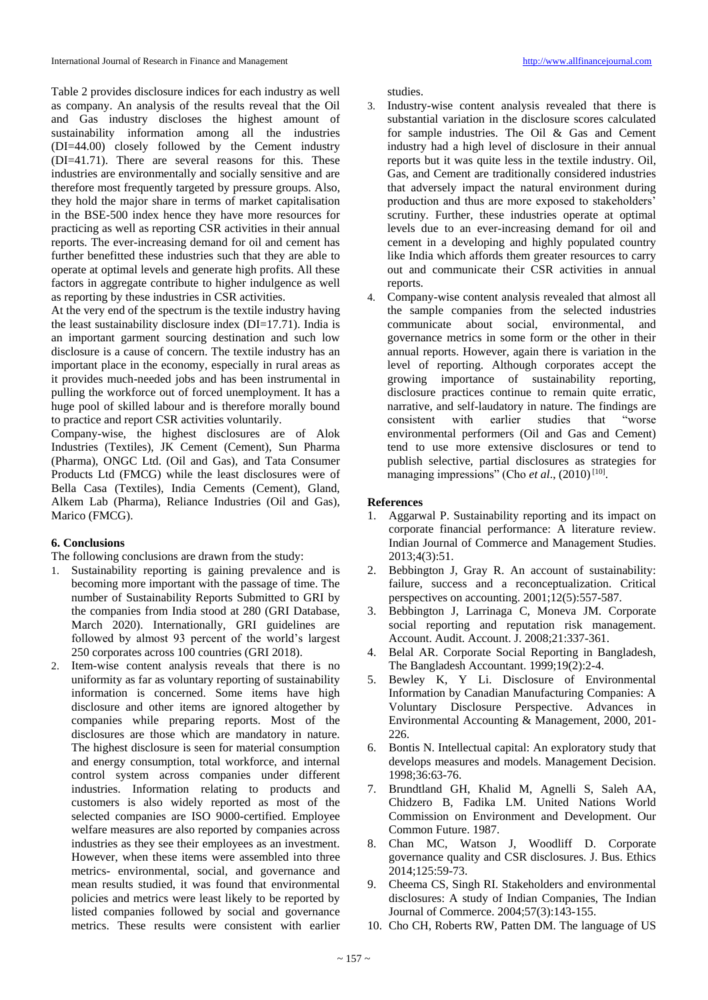Table 2 provides disclosure indices for each industry as well as company. An analysis of the results reveal that the Oil and Gas industry discloses the highest amount of sustainability information among all the industries (DI=44.00) closely followed by the Cement industry (DI=41.71). There are several reasons for this. These industries are environmentally and socially sensitive and are therefore most frequently targeted by pressure groups. Also, they hold the major share in terms of market capitalisation in the BSE-500 index hence they have more resources for practicing as well as reporting CSR activities in their annual reports. The ever-increasing demand for oil and cement has further benefitted these industries such that they are able to operate at optimal levels and generate high profits. All these factors in aggregate contribute to higher indulgence as well as reporting by these industries in CSR activities.

At the very end of the spectrum is the textile industry having the least sustainability disclosure index (DI=17.71). India is an important garment sourcing destination and such low disclosure is a cause of concern. The textile industry has an important place in the economy, especially in rural areas as it provides much-needed jobs and has been instrumental in pulling the workforce out of forced unemployment. It has a huge pool of skilled labour and is therefore morally bound to practice and report CSR activities voluntarily.

Company-wise, the highest disclosures are of Alok Industries (Textiles), JK Cement (Cement), Sun Pharma (Pharma), ONGC Ltd. (Oil and Gas), and Tata Consumer Products Ltd (FMCG) while the least disclosures were of Bella Casa (Textiles), India Cements (Cement), Gland, Alkem Lab (Pharma), Reliance Industries (Oil and Gas), Marico (FMCG).

## **6. Conclusions**

The following conclusions are drawn from the study:

- 1. Sustainability reporting is gaining prevalence and is becoming more important with the passage of time. The number of Sustainability Reports Submitted to GRI by the companies from India stood at 280 (GRI Database, March 2020). Internationally, GRI guidelines are followed by almost 93 percent of the world's largest 250 corporates across 100 countries (GRI 2018).
- 2. Item-wise content analysis reveals that there is no uniformity as far as voluntary reporting of sustainability information is concerned. Some items have high disclosure and other items are ignored altogether by companies while preparing reports. Most of the disclosures are those which are mandatory in nature. The highest disclosure is seen for material consumption and energy consumption, total workforce, and internal control system across companies under different industries. Information relating to products and customers is also widely reported as most of the selected companies are ISO 9000-certified. Employee welfare measures are also reported by companies across industries as they see their employees as an investment. However, when these items were assembled into three metrics- environmental, social, and governance and mean results studied, it was found that environmental policies and metrics were least likely to be reported by listed companies followed by social and governance metrics. These results were consistent with earlier

studies.

- 3. Industry-wise content analysis revealed that there is substantial variation in the disclosure scores calculated for sample industries. The Oil & Gas and Cement industry had a high level of disclosure in their annual reports but it was quite less in the textile industry. Oil, Gas, and Cement are traditionally considered industries that adversely impact the natural environment during production and thus are more exposed to stakeholders' scrutiny. Further, these industries operate at optimal levels due to an ever-increasing demand for oil and cement in a developing and highly populated country like India which affords them greater resources to carry out and communicate their CSR activities in annual reports.
- 4. Company-wise content analysis revealed that almost all the sample companies from the selected industries communicate about social, environmental, and governance metrics in some form or the other in their annual reports. However, again there is variation in the level of reporting. Although corporates accept the growing importance of sustainability reporting, disclosure practices continue to remain quite erratic, narrative, and self-laudatory in nature. The findings are consistent with earlier studies that "worse environmental performers (Oil and Gas and Cement) tend to use more extensive disclosures or tend to publish selective, partial disclosures as strategies for managing impressions" (Cho et al., (2010)<sup>[10]</sup>.

## **References**

- 1. Aggarwal P. Sustainability reporting and its impact on corporate financial performance: A literature review. Indian Journal of Commerce and Management Studies. 2013;4(3):51.
- 2. Bebbington J, Gray R. An account of sustainability: failure, success and a reconceptualization. Critical perspectives on accounting. 2001;12(5):557-587.
- 3. Bebbington J, Larrinaga C, Moneva JM. Corporate social reporting and reputation risk management. Account. Audit. Account. J. 2008;21:337-361.
- 4. Belal AR. Corporate Social Reporting in Bangladesh, The Bangladesh Accountant. 1999;19(2):2-4.
- 5. Bewley K, Y Li. Disclosure of Environmental Information by Canadian Manufacturing Companies: A Voluntary Disclosure Perspective. Advances in Environmental Accounting & Management, 2000, 201- 226.
- 6. Bontis N. Intellectual capital: An exploratory study that develops measures and models. Management Decision. 1998;36:63-76.
- 7. Brundtland GH, Khalid M, Agnelli S, Saleh AA, Chidzero B, Fadika LM. United Nations World Commission on Environment and Development. Our Common Future. 1987.
- 8. Chan MC, Watson J, Woodliff D. Corporate governance quality and CSR disclosures. J. Bus. Ethics 2014;125:59-73.
- 9. Cheema CS, Singh RI. Stakeholders and environmental disclosures: A study of Indian Companies, The Indian Journal of Commerce. 2004;57(3):143-155.
- 10. Cho CH, Roberts RW, Patten DM. The language of US